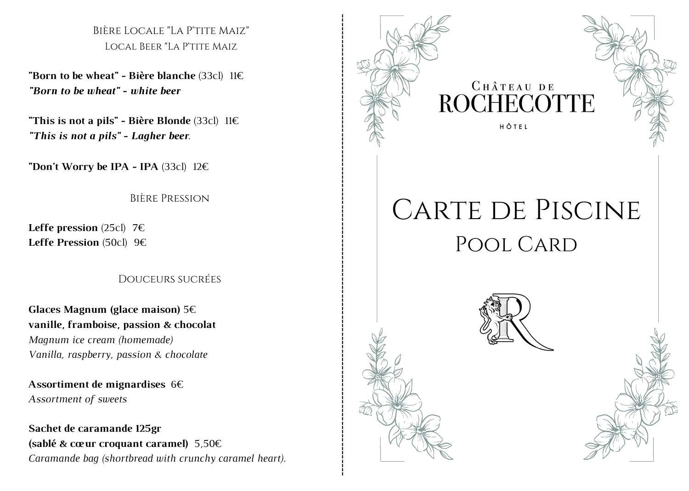Bière Locale "La P'tite Maiz" Local Beer "La P'tite Maiz

"Born to be wheat" - Bière blanche  $(33c)$  11 $\epsilon$ *"Born to be wheat" - white beer* 

"This is not a pils" - Bière Blonde  $(33c)$  11 $\epsilon$ "This is not a pils" - Lagher beer.

**"Don't Worry be IPA - IPA**  $(33c)$   $12 \in$ 

Bière Pression

**Leffe pression**  $(25c)$  7 $\varepsilon$ **Leffe Pression** (50cl)  $9 \in$ 

Douceurs sucrées

Glaces Magnum (glace maison)  $5 \in$ vanille, framboise, passion & chocolat *Magnum ice cream (homemade)* Vanilla, raspberry, passion & chocolate

Assortiment de mignardises 6 $\epsilon$ Assortment of sweets

Sachet de caramande 125gr (sablé & cœur croquant caramel)  $5,50 \in$ Caramande bag (shortbread with crunchy caramel hear